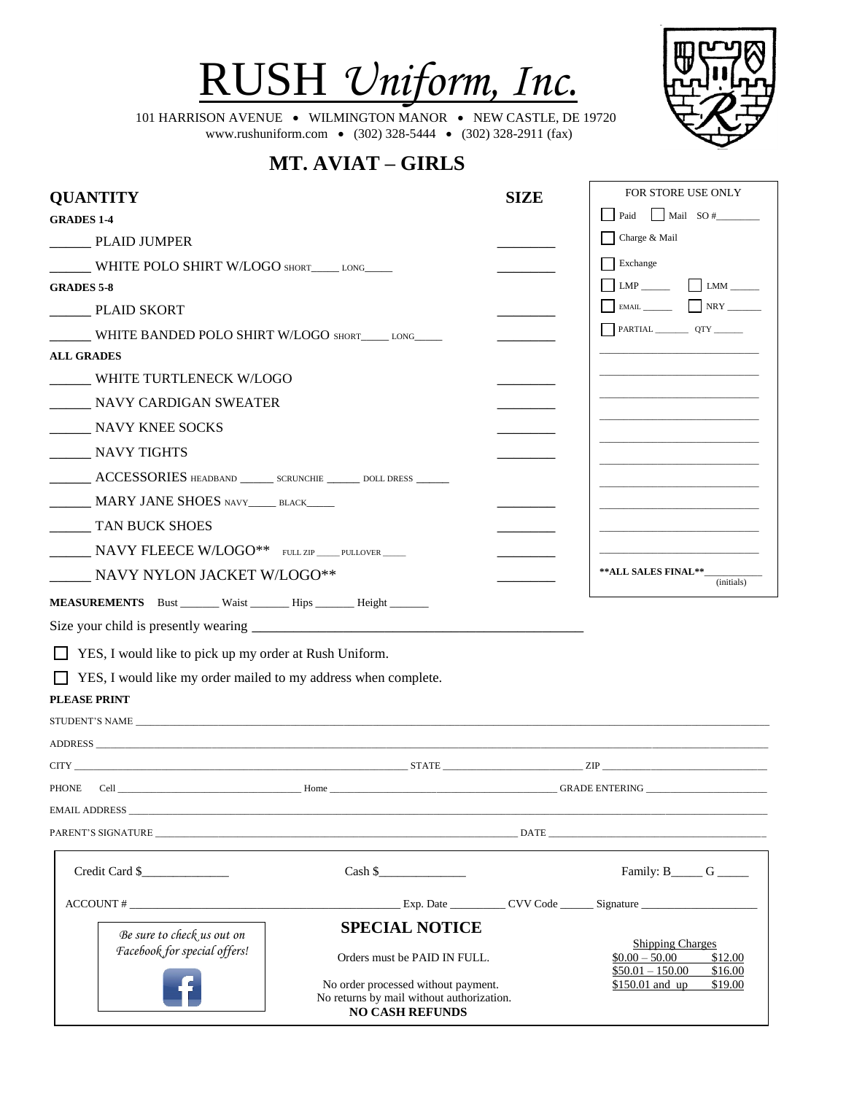



101 HARRISON AVENUE • WILMINGTON MANOR • NEW CASTLE, DE 19720 www.rushuniform.com • (302) 328-5444 • (302) 328-2911 (fax)

## **MT. AVIAT – GIRLS**

| <b>QUANTITY</b>                                                                                                                                                                                                                |                                                                                                            | <b>SIZE</b> | FOR STORE USE ONLY                                         |
|--------------------------------------------------------------------------------------------------------------------------------------------------------------------------------------------------------------------------------|------------------------------------------------------------------------------------------------------------|-------------|------------------------------------------------------------|
| <b>GRADES 1-4</b>                                                                                                                                                                                                              |                                                                                                            |             | $\vert$ Mail SO #<br>Paid                                  |
| PLAID JUMPER                                                                                                                                                                                                                   |                                                                                                            |             | Charge & Mail                                              |
| WHITE POLO SHIRT W/LOGO SHORT____ LONG____                                                                                                                                                                                     |                                                                                                            |             | Exchange                                                   |
| <b>GRADES 5-8</b>                                                                                                                                                                                                              |                                                                                                            |             | $LMP$ $LMM$ $\qquad$                                       |
| ________ PLAID SKORT                                                                                                                                                                                                           |                                                                                                            |             |                                                            |
| WHITE BANDED POLO SHIRT W/LOGO SHORT_____ LONG_____                                                                                                                                                                            |                                                                                                            |             |                                                            |
| <b>ALL GRADES</b>                                                                                                                                                                                                              |                                                                                                            |             |                                                            |
| WHITE TURTLENECK W/LOGO                                                                                                                                                                                                        |                                                                                                            |             |                                                            |
| NAVY CARDIGAN SWEATER                                                                                                                                                                                                          |                                                                                                            |             |                                                            |
| NAVY KNEE SOCKS                                                                                                                                                                                                                |                                                                                                            |             |                                                            |
| NAVY TIGHTS                                                                                                                                                                                                                    |                                                                                                            |             |                                                            |
| ACCESSORIES HEADBAND ______ SCRUNCHIE _____ DOLL DRESS _____                                                                                                                                                                   |                                                                                                            |             |                                                            |
| MARY JANE SHOES NAVY______ BLACK_____                                                                                                                                                                                          |                                                                                                            |             |                                                            |
| TAN BUCK SHOES                                                                                                                                                                                                                 |                                                                                                            |             |                                                            |
|                                                                                                                                                                                                                                |                                                                                                            |             |                                                            |
| NAVY FLEECE W/LOGO** FULL ZIP_PULLOVER                                                                                                                                                                                         |                                                                                                            |             | **ALL SALES FINAL**_                                       |
| NAVY NYLON JACKET W/LOGO**                                                                                                                                                                                                     |                                                                                                            |             | (initials)                                                 |
| MEASUREMENTS Bust ______ Waist _______ Hips ______ Height _______                                                                                                                                                              |                                                                                                            |             |                                                            |
|                                                                                                                                                                                                                                |                                                                                                            |             |                                                            |
| YES, I would like to pick up my order at Rush Uniform.                                                                                                                                                                         |                                                                                                            |             |                                                            |
| YES, I would like my order mailed to my address when complete.                                                                                                                                                                 |                                                                                                            |             |                                                            |
| <b>PLEASE PRINT</b>                                                                                                                                                                                                            |                                                                                                            |             |                                                            |
|                                                                                                                                                                                                                                |                                                                                                            |             |                                                            |
|                                                                                                                                                                                                                                |                                                                                                            |             |                                                            |
| $CTTY$ and $TY$ and $TY$ are $TY$ and $TY$ are $TY$ and $TY$ are $TY$ and $TY$ are $TY$ and $TY$ are $TY$ and $TY$ are $TY$ and $TY$ are $TY$ and $TY$ are $TY$ and $TY$ are $TY$ and $TY$ are $TY$ and $TY$ are $TY$ and $TY$ |                                                                                                            |             |                                                            |
| PHONE                                                                                                                                                                                                                          | Cell GRADE ENTERING GALLERING COMMUNICATION CONTINUES.                                                     |             |                                                            |
|                                                                                                                                                                                                                                |                                                                                                            |             |                                                            |
| PARENT'S SIGNATURE DATE DATE DATE DATE                                                                                                                                                                                         |                                                                                                            |             |                                                            |
| Credit Card \$                                                                                                                                                                                                                 | Cash \$                                                                                                    |             | Family: $B_{\_\_\_\_G}$ G                                  |
|                                                                                                                                                                                                                                |                                                                                                            |             |                                                            |
|                                                                                                                                                                                                                                | <b>SPECIAL NOTICE</b>                                                                                      |             |                                                            |
| Be sure to check us out on<br>Facebook for special offers!                                                                                                                                                                     | Orders must be PAID IN FULL.                                                                               |             | <b>Shipping Charges</b><br>$$0.00 - 50.00$<br>\$12.00      |
|                                                                                                                                                                                                                                | No order processed without payment.<br>No returns by mail without authorization.<br><b>NO CASH REFUNDS</b> |             | $$50.01 - 150.00$<br>\$16.00<br>\$150.01 and up<br>\$19.00 |